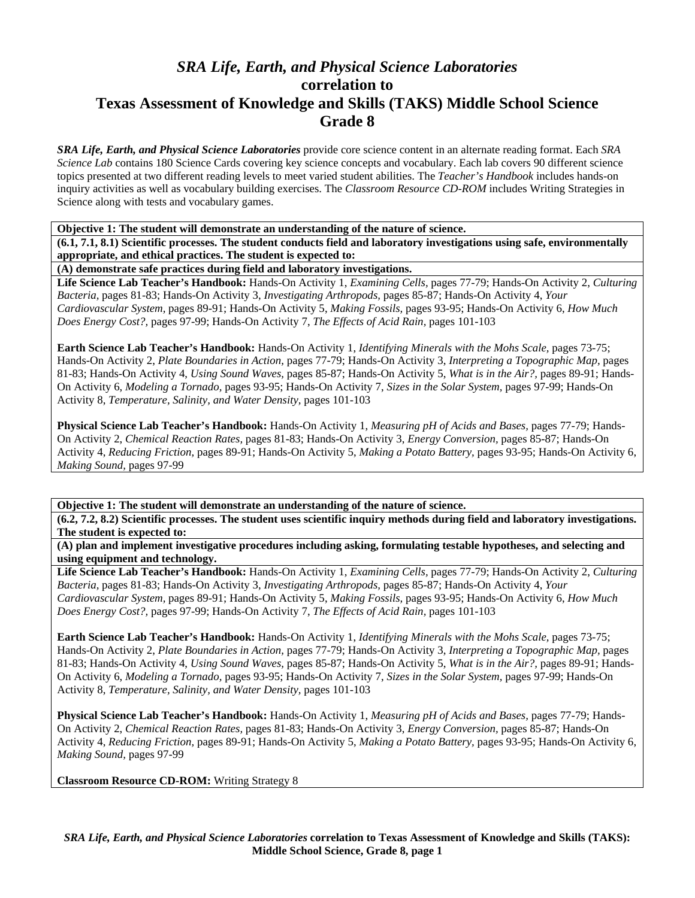## *SRA Life, Earth, and Physical Science Laboratories*  **correlation to Texas Assessment of Knowledge and Skills (TAKS) Middle School Science Grade 8**

*SRA Life, Earth, and Physical Science Laboratories* provide core science content in an alternate reading format. Each *SRA Science Lab* contains 180 Science Cards covering key science concepts and vocabulary. Each lab covers 90 different science topics presented at two different reading levels to meet varied student abilities. The *Teacher's Handbook* includes hands-on inquiry activities as well as vocabulary building exercises. The *Classroom Resource CD-ROM* includes Writing Strategies in Science along with tests and vocabulary games.

**Objective 1: The student will demonstrate an understanding of the nature of science.** 

**(6.1, 7.1, 8.1) Scientific processes. The student conducts field and laboratory investigations using safe, environmentally appropriate, and ethical practices. The student is expected to:** 

**(A) demonstrate safe practices during field and laboratory investigations.** 

**Life Science Lab Teacher's Handbook:** Hands-On Activity 1, *Examining Cells,* pages 77-79; Hands-On Activity 2, *Culturing Bacteria,* pages 81-83; Hands-On Activity 3, *Investigating Arthropods,* pages 85-87; Hands-On Activity 4, *Your Cardiovascular System,* pages 89-91; Hands-On Activity 5, *Making Fossils,* pages 93-95; Hands-On Activity 6, *How Much Does Energy Cost?,* pages 97-99; Hands-On Activity 7, *The Effects of Acid Rain,* pages 101-103

**Earth Science Lab Teacher's Handbook:** Hands-On Activity 1, *Identifying Minerals with the Mohs Scale,* pages 73-75; Hands-On Activity 2, *Plate Boundaries in Action,* pages 77-79; Hands-On Activity 3, *Interpreting a Topographic Map,* pages 81-83; Hands-On Activity 4, *Using Sound Waves,* pages 85-87; Hands-On Activity 5, *What is in the Air?,* pages 89-91; Hands-On Activity 6, *Modeling a Tornado,* pages 93-95; Hands-On Activity 7, *Sizes in the Solar System,* pages 97-99; Hands-On Activity 8, *Temperature, Salinity, and Water Density,* pages 101-103

**Physical Science Lab Teacher's Handbook:** Hands-On Activity 1, *Measuring pH of Acids and Bases,* pages 77-79; Hands-On Activity 2, *Chemical Reaction Rates,* pages 81-83; Hands-On Activity 3, *Energy Conversion,* pages 85-87; Hands-On Activity 4, *Reducing Friction,* pages 89-91; Hands-On Activity 5, *Making a Potato Battery,* pages 93-95; Hands-On Activity 6, *Making Sound,* pages 97-99

**Objective 1: The student will demonstrate an understanding of the nature of science.** 

**(6.2, 7.2, 8.2) Scientific processes. The student uses scientific inquiry methods during field and laboratory investigations. The student is expected to:** 

**(A) plan and implement investigative procedures including asking, formulating testable hypotheses, and selecting and using equipment and technology.** 

**Life Science Lab Teacher's Handbook:** Hands-On Activity 1, *Examining Cells,* pages 77-79; Hands-On Activity 2, *Culturing Bacteria,* pages 81-83; Hands-On Activity 3, *Investigating Arthropods,* pages 85-87; Hands-On Activity 4, *Your Cardiovascular System,* pages 89-91; Hands-On Activity 5, *Making Fossils,* pages 93-95; Hands-On Activity 6, *How Much Does Energy Cost?,* pages 97-99; Hands-On Activity 7, *The Effects of Acid Rain,* pages 101-103

**Earth Science Lab Teacher's Handbook:** Hands-On Activity 1, *Identifying Minerals with the Mohs Scale,* pages 73-75; Hands-On Activity 2, *Plate Boundaries in Action,* pages 77-79; Hands-On Activity 3, *Interpreting a Topographic Map,* pages 81-83; Hands-On Activity 4, *Using Sound Waves,* pages 85-87; Hands-On Activity 5, *What is in the Air?,* pages 89-91; Hands-On Activity 6, *Modeling a Tornado,* pages 93-95; Hands-On Activity 7, *Sizes in the Solar System,* pages 97-99; Hands-On Activity 8, *Temperature, Salinity, and Water Density,* pages 101-103

**Physical Science Lab Teacher's Handbook:** Hands-On Activity 1, *Measuring pH of Acids and Bases,* pages 77-79; Hands-On Activity 2, *Chemical Reaction Rates,* pages 81-83; Hands-On Activity 3, *Energy Conversion,* pages 85-87; Hands-On Activity 4, *Reducing Friction,* pages 89-91; Hands-On Activity 5, *Making a Potato Battery,* pages 93-95; Hands-On Activity 6, *Making Sound,* pages 97-99

**Classroom Resource CD-ROM:** Writing Strategy 8

*SRA Life, Earth, and Physical Science Laboratories* **correlation to Texas Assessment of Knowledge and Skills (TAKS): Middle School Science, Grade 8, page 1**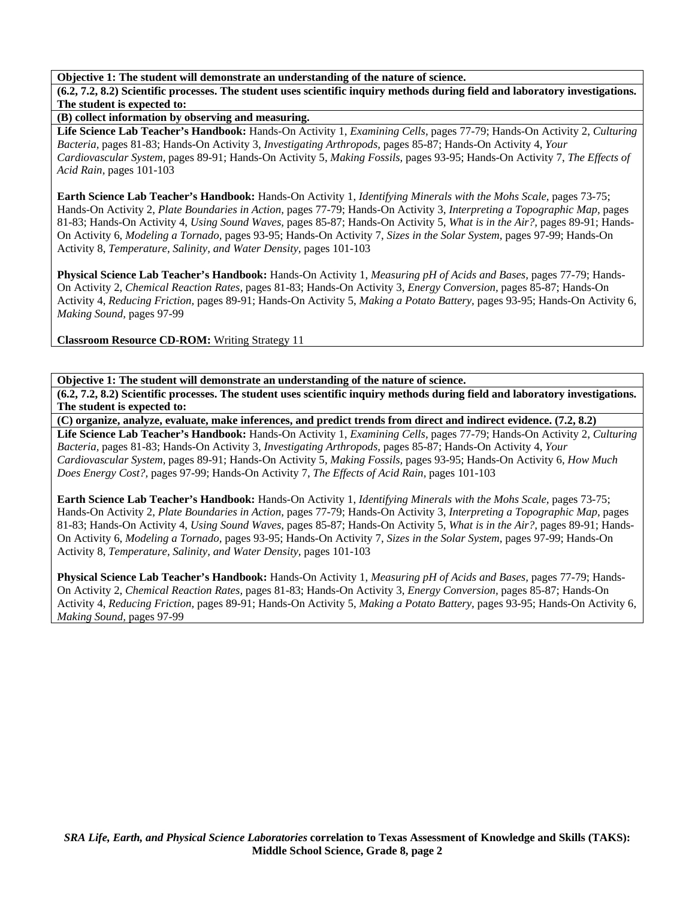**Objective 1: The student will demonstrate an understanding of the nature of science.** 

**(6.2, 7.2, 8.2) Scientific processes. The student uses scientific inquiry methods during field and laboratory investigations. The student is expected to:** 

**(B) collect information by observing and measuring.** 

**Life Science Lab Teacher's Handbook:** Hands-On Activity 1, *Examining Cells,* pages 77-79; Hands-On Activity 2, *Culturing Bacteria,* pages 81-83; Hands-On Activity 3, *Investigating Arthropods,* pages 85-87; Hands-On Activity 4, *Your Cardiovascular System,* pages 89-91; Hands-On Activity 5, *Making Fossils,* pages 93-95; Hands-On Activity 7, *The Effects of Acid Rain,* pages 101-103

**Earth Science Lab Teacher's Handbook:** Hands-On Activity 1, *Identifying Minerals with the Mohs Scale,* pages 73-75; Hands-On Activity 2, *Plate Boundaries in Action,* pages 77-79; Hands-On Activity 3, *Interpreting a Topographic Map,* pages 81-83; Hands-On Activity 4, *Using Sound Waves,* pages 85-87; Hands-On Activity 5, *What is in the Air?,* pages 89-91; Hands-On Activity 6, *Modeling a Tornado,* pages 93-95; Hands-On Activity 7, *Sizes in the Solar System,* pages 97-99; Hands-On Activity 8, *Temperature, Salinity, and Water Density,* pages 101-103

**Physical Science Lab Teacher's Handbook:** Hands-On Activity 1, *Measuring pH of Acids and Bases,* pages 77-79; Hands-On Activity 2, *Chemical Reaction Rates,* pages 81-83; Hands-On Activity 3, *Energy Conversion,* pages 85-87; Hands-On Activity 4, *Reducing Friction,* pages 89-91; Hands-On Activity 5, *Making a Potato Battery,* pages 93-95; Hands-On Activity 6, *Making Sound,* pages 97-99

**Classroom Resource CD-ROM:** Writing Strategy 11

**Objective 1: The student will demonstrate an understanding of the nature of science.** 

**(6.2, 7.2, 8.2) Scientific processes. The student uses scientific inquiry methods during field and laboratory investigations. The student is expected to:** 

**(C) organize, analyze, evaluate, make inferences, and predict trends from direct and indirect evidence. (7.2, 8.2) Life Science Lab Teacher's Handbook:** Hands-On Activity 1, *Examining Cells,* pages 77-79; Hands-On Activity 2, *Culturing Bacteria,* pages 81-83; Hands-On Activity 3, *Investigating Arthropods,* pages 85-87; Hands-On Activity 4, *Your Cardiovascular System,* pages 89-91; Hands-On Activity 5, *Making Fossils,* pages 93-95; Hands-On Activity 6, *How Much Does Energy Cost?,* pages 97-99; Hands-On Activity 7, *The Effects of Acid Rain,* pages 101-103

**Earth Science Lab Teacher's Handbook:** Hands-On Activity 1, *Identifying Minerals with the Mohs Scale,* pages 73-75; Hands-On Activity 2, *Plate Boundaries in Action,* pages 77-79; Hands-On Activity 3, *Interpreting a Topographic Map,* pages 81-83; Hands-On Activity 4, *Using Sound Waves,* pages 85-87; Hands-On Activity 5, *What is in the Air?,* pages 89-91; Hands-On Activity 6, *Modeling a Tornado,* pages 93-95; Hands-On Activity 7, *Sizes in the Solar System,* pages 97-99; Hands-On Activity 8, *Temperature, Salinity, and Water Density,* pages 101-103

**Physical Science Lab Teacher's Handbook:** Hands-On Activity 1, *Measuring pH of Acids and Bases,* pages 77-79; Hands-On Activity 2, *Chemical Reaction Rates,* pages 81-83; Hands-On Activity 3, *Energy Conversion,* pages 85-87; Hands-On Activity 4, *Reducing Friction,* pages 89-91; Hands-On Activity 5, *Making a Potato Battery,* pages 93-95; Hands-On Activity 6, *Making Sound,* pages 97-99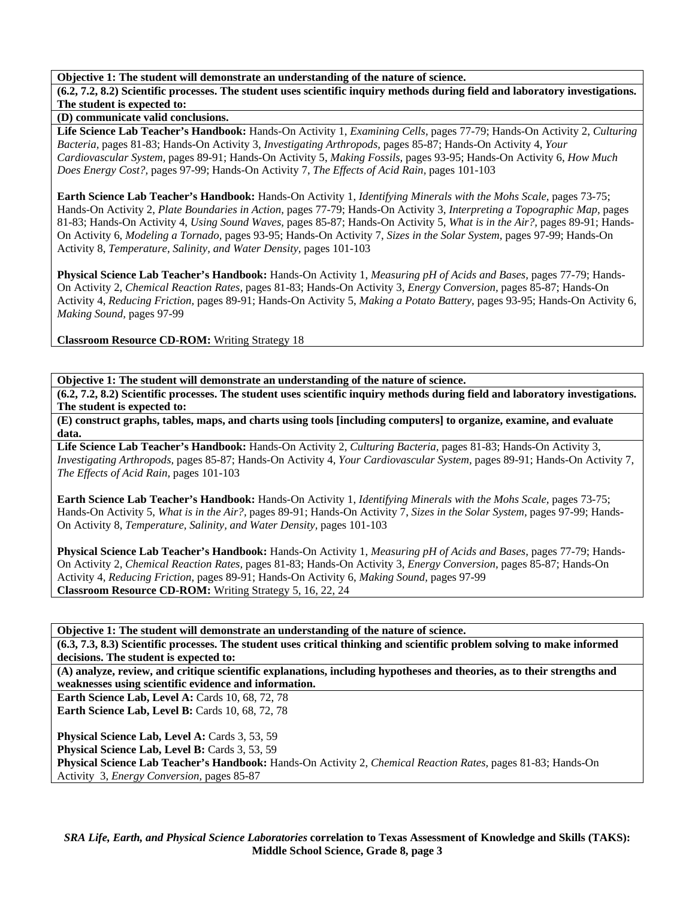## **Objective 1: The student will demonstrate an understanding of the nature of science.**

**(6.2, 7.2, 8.2) Scientific processes. The student uses scientific inquiry methods during field and laboratory investigations. The student is expected to:** 

**(D) communicate valid conclusions.** 

**Life Science Lab Teacher's Handbook:** Hands-On Activity 1, *Examining Cells,* pages 77-79; Hands-On Activity 2, *Culturing Bacteria,* pages 81-83; Hands-On Activity 3, *Investigating Arthropods,* pages 85-87; Hands-On Activity 4, *Your Cardiovascular System,* pages 89-91; Hands-On Activity 5, *Making Fossils,* pages 93-95; Hands-On Activity 6, *How Much Does Energy Cost?,* pages 97-99; Hands-On Activity 7, *The Effects of Acid Rain,* pages 101-103

**Earth Science Lab Teacher's Handbook:** Hands-On Activity 1, *Identifying Minerals with the Mohs Scale,* pages 73-75; Hands-On Activity 2, *Plate Boundaries in Action,* pages 77-79; Hands-On Activity 3, *Interpreting a Topographic Map,* pages 81-83; Hands-On Activity 4, *Using Sound Waves,* pages 85-87; Hands-On Activity 5, *What is in the Air?,* pages 89-91; Hands-On Activity 6, *Modeling a Tornado,* pages 93-95; Hands-On Activity 7, *Sizes in the Solar System,* pages 97-99; Hands-On Activity 8, *Temperature, Salinity, and Water Density,* pages 101-103

**Physical Science Lab Teacher's Handbook:** Hands-On Activity 1, *Measuring pH of Acids and Bases,* pages 77-79; Hands-On Activity 2, *Chemical Reaction Rates,* pages 81-83; Hands-On Activity 3, *Energy Conversion,* pages 85-87; Hands-On Activity 4, *Reducing Friction,* pages 89-91; Hands-On Activity 5, *Making a Potato Battery,* pages 93-95; Hands-On Activity 6, *Making Sound,* pages 97-99

**Classroom Resource CD-ROM:** Writing Strategy 18

**Objective 1: The student will demonstrate an understanding of the nature of science.** 

**(6.2, 7.2, 8.2) Scientific processes. The student uses scientific inquiry methods during field and laboratory investigations. The student is expected to:** 

**(E) construct graphs, tables, maps, and charts using tools [including computers] to organize, examine, and evaluate data.** 

**Life Science Lab Teacher's Handbook:** Hands-On Activity 2, *Culturing Bacteria,* pages 81-83; Hands-On Activity 3, *Investigating Arthropods,* pages 85-87; Hands-On Activity 4, *Your Cardiovascular System,* pages 89-91; Hands-On Activity 7, *The Effects of Acid Rain,* pages 101-103

**Earth Science Lab Teacher's Handbook:** Hands-On Activity 1, *Identifying Minerals with the Mohs Scale,* pages 73-75; Hands-On Activity 5, *What is in the Air?,* pages 89-91; Hands-On Activity 7, *Sizes in the Solar System,* pages 97-99; Hands-On Activity 8, *Temperature, Salinity, and Water Density,* pages 101-103

**Physical Science Lab Teacher's Handbook:** Hands-On Activity 1, *Measuring pH of Acids and Bases,* pages 77-79; Hands-On Activity 2, *Chemical Reaction Rates,* pages 81-83; Hands-On Activity 3, *Energy Conversion,* pages 85-87; Hands-On Activity 4, *Reducing Friction,* pages 89-91; Hands-On Activity 6, *Making Sound,* pages 97-99 **Classroom Resource CD-ROM:** Writing Strategy 5, 16, 22, 24

**Objective 1: The student will demonstrate an understanding of the nature of science.** 

**(6.3, 7.3, 8.3) Scientific processes. The student uses critical thinking and scientific problem solving to make informed decisions. The student is expected to:** 

**(A) analyze, review, and critique scientific explanations, including hypotheses and theories, as to their strengths and weaknesses using scientific evidence and information.** 

**Earth Science Lab, Level A: Cards 10, 68, 72, 78** 

**Earth Science Lab, Level B: Cards 10, 68, 72, 78** 

Physical Science Lab, Level A: Cards 3, 53, 59

Physical Science Lab, Level B: Cards 3, 53, 59 **Physical Science Lab Teacher's Handbook:** Hands-On Activity 2, *Chemical Reaction Rates,* pages 81-83; Hands-On Activity 3, *Energy Conversion,* pages 85-87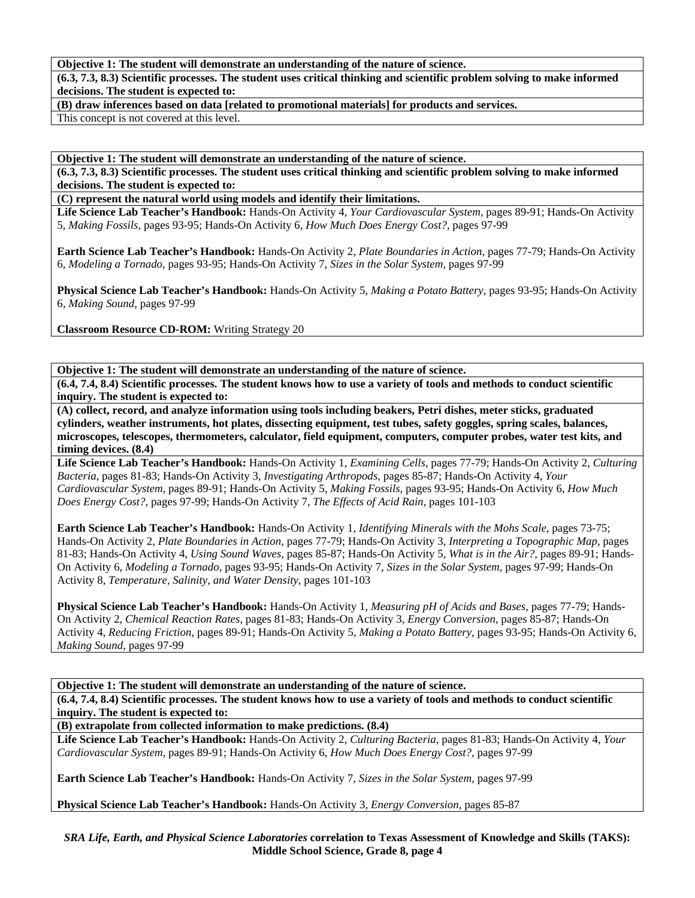## **Objective 1: The student will demonstrate an understanding of the nature of science.**

**(6.3, 7.3, 8.3) Scientific processes. The student uses critical thinking and scientific problem solving to make informed decisions. The student is expected to:** 

**(B) draw inferences based on data [related to promotional materials] for products and services.** 

This concept is not covered at this level.

**Objective 1: The student will demonstrate an understanding of the nature of science.** 

**(6.3, 7.3, 8.3) Scientific processes. The student uses critical thinking and scientific problem solving to make informed decisions. The student is expected to:** 

**(C) represent the natural world using models and identify their limitations.** 

**Life Science Lab Teacher's Handbook:** Hands-On Activity 4, *Your Cardiovascular System,* pages 89-91; Hands-On Activity 5, *Making Fossils,* pages 93-95; Hands-On Activity 6, *How Much Does Energy Cost?,* pages 97-99

**Earth Science Lab Teacher's Handbook:** Hands-On Activity 2, *Plate Boundaries in Action,* pages 77-79; Hands-On Activity 6, *Modeling a Tornado,* pages 93-95; Hands-On Activity 7, *Sizes in the Solar System,* pages 97-99

**Physical Science Lab Teacher's Handbook:** Hands-On Activity 5, *Making a Potato Battery,* pages 93-95; Hands-On Activity 6, *Making Sound,* pages 97-99

**Classroom Resource CD-ROM:** Writing Strategy 20

**Objective 1: The student will demonstrate an understanding of the nature of science.** 

**(6.4, 7.4, 8.4) Scientific processes. The student knows how to use a variety of tools and methods to conduct scientific inquiry. The student is expected to:** 

**(A) collect, record, and analyze information using tools including beakers, Petri dishes, meter sticks, graduated cylinders, weather instruments, hot plates, dissecting equipment, test tubes, safety goggles, spring scales, balances, microscopes, telescopes, thermometers, calculator, field equipment, computers, computer probes, water test kits, and timing devices. (8.4)** 

**Life Science Lab Teacher's Handbook:** Hands-On Activity 1, *Examining Cells,* pages 77-79; Hands-On Activity 2, *Culturing Bacteria,* pages 81-83; Hands-On Activity 3, *Investigating Arthropods,* pages 85-87; Hands-On Activity 4, *Your Cardiovascular System,* pages 89-91; Hands-On Activity 5, *Making Fossils,* pages 93-95; Hands-On Activity 6, *How Much Does Energy Cost?,* pages 97-99; Hands-On Activity 7, *The Effects of Acid Rain,* pages 101-103

**Earth Science Lab Teacher's Handbook:** Hands-On Activity 1, *Identifying Minerals with the Mohs Scale,* pages 73-75; Hands-On Activity 2, *Plate Boundaries in Action,* pages 77-79; Hands-On Activity 3, *Interpreting a Topographic Map,* pages 81-83; Hands-On Activity 4, *Using Sound Waves,* pages 85-87; Hands-On Activity 5, *What is in the Air?,* pages 89-91; Hands-On Activity 6, *Modeling a Tornado,* pages 93-95; Hands-On Activity 7, *Sizes in the Solar System,* pages 97-99; Hands-On Activity 8, *Temperature, Salinity, and Water Density,* pages 101-103

**Physical Science Lab Teacher's Handbook:** Hands-On Activity 1, *Measuring pH of Acids and Bases,* pages 77-79; Hands-On Activity 2, *Chemical Reaction Rates,* pages 81-83; Hands-On Activity 3, *Energy Conversion,* pages 85-87; Hands-On Activity 4, *Reducing Friction,* pages 89-91; Hands-On Activity 5, *Making a Potato Battery,* pages 93-95; Hands-On Activity 6, *Making Sound,* pages 97-99

**Objective 1: The student will demonstrate an understanding of the nature of science.** 

**(6.4, 7.4, 8.4) Scientific processes. The student knows how to use a variety of tools and methods to conduct scientific inquiry. The student is expected to:** 

**(B) extrapolate from collected information to make predictions. (8.4)** 

**Life Science Lab Teacher's Handbook:** Hands-On Activity 2, *Culturing Bacteria,* pages 81-83; Hands-On Activity 4, *Your Cardiovascular System,* pages 89-91; Hands-On Activity 6, *How Much Does Energy Cost?,* pages 97-99

**Earth Science Lab Teacher's Handbook:** Hands-On Activity 7, *Sizes in the Solar System,* pages 97-99

**Physical Science Lab Teacher's Handbook:** Hands-On Activity 3, *Energy Conversion,* pages 85-87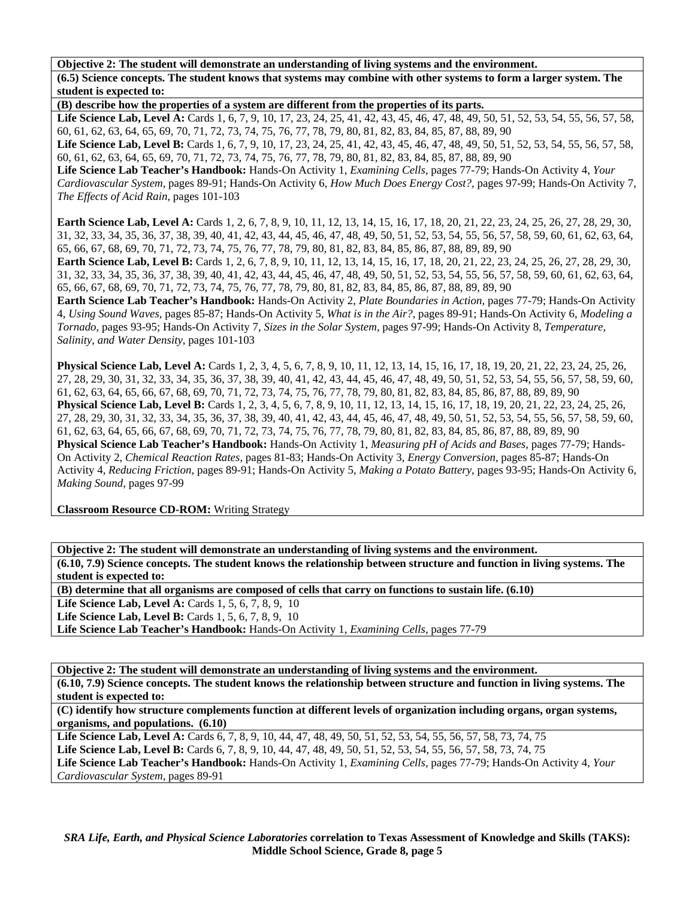**Objective 2: The student will demonstrate an understanding of living systems and the environment. (6.5) Science concepts. The student knows that systems may combine with other systems to form a larger system. The student is expected to:** 

**(B) describe how the properties of a system are different from the properties of its parts.** 

Life Science Lab, Level A: Cards 1, 6, 7, 9, 10, 17, 23, 24, 25, 41, 42, 43, 45, 46, 47, 48, 49, 50, 51, 52, 53, 54, 55, 56, 57, 58, 60, 61, 62, 63, 64, 65, 69, 70, 71, 72, 73, 74, 75, 76, 77, 78, 79, 80, 81, 82, 83, 84, 85, 87, 88, 89, 90

Life Science Lab, Level B: Cards 1, 6, 7, 9, 10, 17, 23, 24, 25, 41, 42, 43, 45, 46, 47, 48, 49, 50, 51, 52, 53, 54, 55, 56, 57, 58, 60, 61, 62, 63, 64, 65, 69, 70, 71, 72, 73, 74, 75, 76, 77, 78, 79, 80, 81, 82, 83, 84, 85, 87, 88, 89, 90

**Life Science Lab Teacher's Handbook:** Hands-On Activity 1, *Examining Cells,* pages 77-79; Hands-On Activity 4, *Your Cardiovascular System,* pages 89-91; Hands-On Activity 6, *How Much Does Energy Cost?,* pages 97-99; Hands-On Activity 7, *The Effects of Acid Rain,* pages 101-103

**Earth Science Lab, Level A:** Cards 1, 2, 6, 7, 8, 9, 10, 11, 12, 13, 14, 15, 16, 17, 18, 20, 21, 22, 23, 24, 25, 26, 27, 28, 29, 30, 31, 32, 33, 34, 35, 36, 37, 38, 39, 40, 41, 42, 43, 44, 45, 46, 47, 48, 49, 50, 51, 52, 53, 54, 55, 56, 57, 58, 59, 60, 61, 62, 63, 64, 65, 66, 67, 68, 69, 70, 71, 72, 73, 74, 75, 76, 77, 78, 79, 80, 81, 82, 83, 84, 85, 86, 87, 88, 89, 89, 90

Earth Science Lab, Level B: Cards 1, 2, 6, 7, 8, 9, 10, 11, 12, 13, 14, 15, 16, 17, 18, 20, 21, 22, 23, 24, 25, 26, 27, 28, 29, 30, 31, 32, 33, 34, 35, 36, 37, 38, 39, 40, 41, 42, 43, 44, 45, 46, 47, 48, 49, 50, 51, 52, 53, 54, 55, 56, 57, 58, 59, 60, 61, 62, 63, 64, 65, 66, 67, 68, 69, 70, 71, 72, 73, 74, 75, 76, 77, 78, 79, 80, 81, 82, 83, 84, 85, 86, 87, 88, 89, 89, 90

**Earth Science Lab Teacher's Handbook:** Hands-On Activity 2, *Plate Boundaries in Action,* pages 77-79; Hands-On Activity 4, *Using Sound Waves,* pages 85-87; Hands-On Activity 5, *What is in the Air?,* pages 89-91; Hands-On Activity 6, *Modeling a Tornado,* pages 93-95; Hands-On Activity 7, *Sizes in the Solar System,* pages 97-99; Hands-On Activity 8, *Temperature, Salinity, and Water Density,* pages 101-103

**Physical Science Lab, Level A:** Cards 1, 2, 3, 4, 5, 6, 7, 8, 9, 10, 11, 12, 13, 14, 15, 16, 17, 18, 19, 20, 21, 22, 23, 24, 25, 26, 27, 28, 29, 30, 31, 32, 33, 34, 35, 36, 37, 38, 39, 40, 41, 42, 43, 44, 45, 46, 47, 48, 49, 50, 51, 52, 53, 54, 55, 56, 57, 58, 59, 60, 61, 62, 63, 64, 65, 66, 67, 68, 69, 70, 71, 72, 73, 74, 75, 76, 77, 78, 79, 80, 81, 82, 83, 84, 85, 86, 87, 88, 89, 89, 90 **Physical Science Lab, Level B:** Cards 1, 2, 3, 4, 5, 6, 7, 8, 9, 10, 11, 12, 13, 14, 15, 16, 17, 18, 19, 20, 21, 22, 23, 24, 25, 26, 27, 28, 29, 30, 31, 32, 33, 34, 35, 36, 37, 38, 39, 40, 41, 42, 43, 44, 45, 46, 47, 48, 49, 50, 51, 52, 53, 54, 55, 56, 57, 58, 59, 60, 61, 62, 63, 64, 65, 66, 67, 68, 69, 70, 71, 72, 73, 74, 75, 76, 77, 78, 79, 80, 81, 82, 83, 84, 85, 86, 87, 88, 89, 89, 90 **Physical Science Lab Teacher's Handbook:** Hands-On Activity 1, *Measuring pH of Acids and Bases,* pages 77-79; Hands-On Activity 2, *Chemical Reaction Rates,* pages 81-83; Hands-On Activity 3, *Energy Conversion,* pages 85-87; Hands-On Activity 4, *Reducing Friction,* pages 89-91; Hands-On Activity 5, *Making a Potato Battery,* pages 93-95; Hands-On Activity 6, *Making Sound,* pages 97-99

**Classroom Resource CD-ROM:** Writing Strategy

**Objective 2: The student will demonstrate an understanding of living systems and the environment. (6.10, 7.9) Science concepts. The student knows the relationship between structure and function in living systems. The student is expected to:** 

**(B) determine that all organisms are composed of cells that carry on functions to sustain life. (6.10)** 

**Life Science Lab, Level A: Cards 1, 5, 6, 7, 8, 9, 10** 

**Life Science Lab, Level B:** Cards 1, 5, 6, 7, 8, 9, 10

**Life Science Lab Teacher's Handbook:** Hands-On Activity 1, *Examining Cells,* pages 77-79

**Objective 2: The student will demonstrate an understanding of living systems and the environment. (6.10, 7.9) Science concepts. The student knows the relationship between structure and function in living systems. The student is expected to:** 

**(C) identify how structure complements function at different levels of organization including organs, organ systems, organisms, and populations. (6.10)** 

Life Science Lab, Level A: Cards 6, 7, 8, 9, 10, 44, 47, 48, 49, 50, 51, 52, 53, 54, 55, 56, 57, 58, 73, 74, 75 Life Science Lab, Level B: Cards 6, 7, 8, 9, 10, 44, 47, 48, 49, 50, 51, 52, 53, 54, 55, 56, 57, 58, 73, 74, 75 **Life Science Lab Teacher's Handbook:** Hands-On Activity 1, *Examining Cells,* pages 77-79; Hands-On Activity 4, *Your Cardiovascular System,* pages 89-91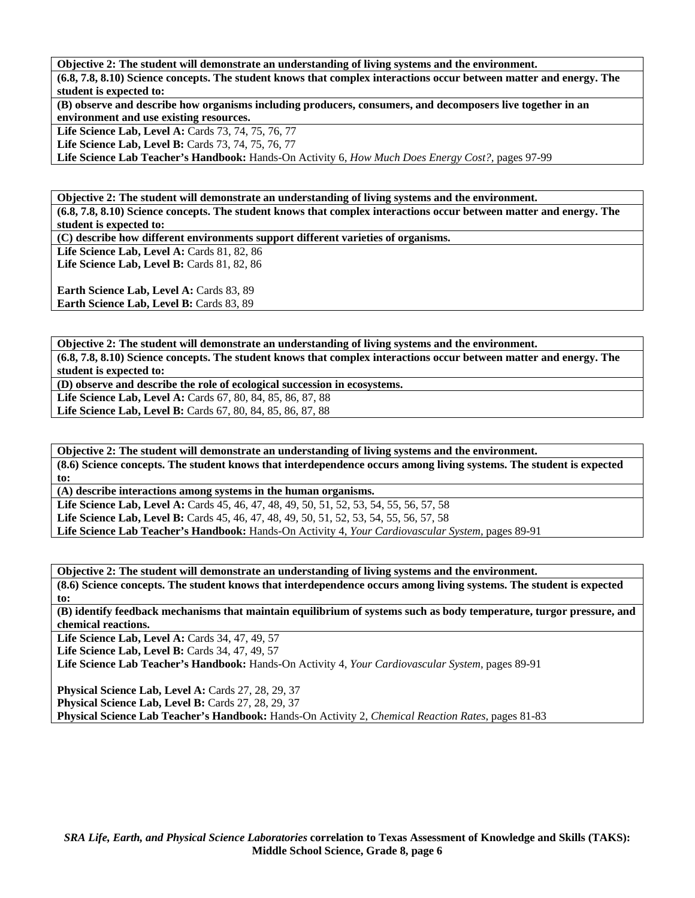**Objective 2: The student will demonstrate an understanding of living systems and the environment. (6.8, 7.8, 8.10) Science concepts. The student knows that complex interactions occur between matter and energy. The student is expected to:** 

**(B) observe and describe how organisms including producers, consumers, and decomposers live together in an environment and use existing resources.** 

Life Science Lab, Level A: Cards 73, 74, 75, 76, 77

Life Science Lab, Level B: Cards 73, 74, 75, 76, 77

**Life Science Lab Teacher's Handbook:** Hands-On Activity 6, *How Much Does Energy Cost?,* pages 97-99

**Objective 2: The student will demonstrate an understanding of living systems and the environment. (6.8, 7.8, 8.10) Science concepts. The student knows that complex interactions occur between matter and energy. The student is expected to:** 

**(C) describe how different environments support different varieties of organisms.** 

**Life Science Lab, Level A: Cards 81, 82, 86** Life Science Lab, Level B: Cards 81, 82, 86

**Earth Science Lab, Level A: Cards 83, 89** 

**Earth Science Lab, Level B: Cards 83, 89** 

**Objective 2: The student will demonstrate an understanding of living systems and the environment. (6.8, 7.8, 8.10) Science concepts. The student knows that complex interactions occur between matter and energy. The student is expected to:** 

**(D) observe and describe the role of ecological succession in ecosystems.** 

**Life Science Lab, Level A:** Cards 67, 80, 84, 85, 86, 87, 88

**Life Science Lab, Level B:** Cards 67, 80, 84, 85, 86, 87, 88

**Objective 2: The student will demonstrate an understanding of living systems and the environment. (8.6) Science concepts. The student knows that interdependence occurs among living systems. The student is expected to:** 

**(A) describe interactions among systems in the human organisms.** 

**Life Science Lab, Level A:** Cards 45, 46, 47, 48, 49, 50, 51, 52, 53, 54, 55, 56, 57, 58 **Life Science Lab, Level B:** Cards 45, 46, 47, 48, 49, 50, 51, 52, 53, 54, 55, 56, 57, 58 **Life Science Lab Teacher's Handbook:** Hands-On Activity 4, *Your Cardiovascular System,* pages 89-91

**Objective 2: The student will demonstrate an understanding of living systems and the environment. (8.6) Science concepts. The student knows that interdependence occurs among living systems. The student is expected to:** 

**(B) identify feedback mechanisms that maintain equilibrium of systems such as body temperature, turgor pressure, and chemical reactions.** 

**Life Science Lab, Level A:** Cards 34, 47, 49, 57

Life Science Lab, Level B: Cards 34, 47, 49, 57

**Life Science Lab Teacher's Handbook:** Hands-On Activity 4, *Your Cardiovascular System,* pages 89-91

**Physical Science Lab, Level A:** Cards 27, 28, 29, 37 **Physical Science Lab, Level B: Cards 27, 28, 29, 37 Physical Science Lab Teacher's Handbook:** Hands-On Activity 2, *Chemical Reaction Rates,* pages 81-83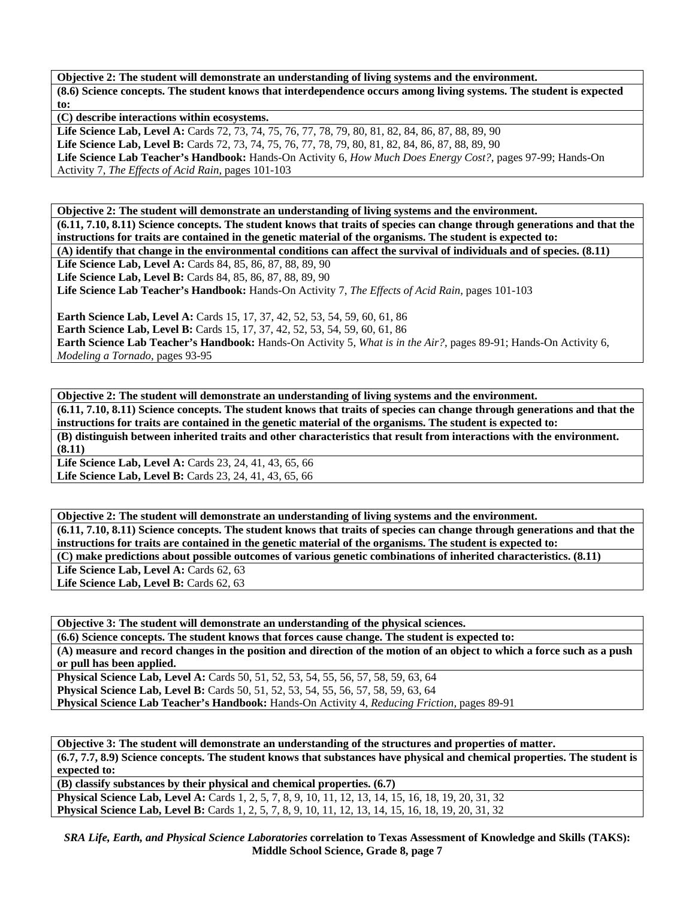**Objective 2: The student will demonstrate an understanding of living systems and the environment. (8.6) Science concepts. The student knows that interdependence occurs among living systems. The student is expected to:** 

**(C) describe interactions within ecosystems.** 

Life Science Lab, Level A: Cards 72, 73, 74, 75, 76, 77, 78, 79, 80, 81, 82, 84, 86, 87, 88, 89, 90 **Life Science Lab, Level B:** Cards 72, 73, 74, 75, 76, 77, 78, 79, 80, 81, 82, 84, 86, 87, 88, 89, 90 **Life Science Lab Teacher's Handbook:** Hands-On Activity 6, *How Much Does Energy Cost?,* pages 97-99; Hands-On Activity 7, *The Effects of Acid Rain,* pages 101-103

**Objective 2: The student will demonstrate an understanding of living systems and the environment. (6.11, 7.10, 8.11) Science concepts. The student knows that traits of species can change through generations and that the instructions for traits are contained in the genetic material of the organisms. The student is expected to: (A) identify that change in the environmental conditions can affect the survival of individuals and of species. (8.11) Life Science Lab, Level A:** Cards 84, 85, 86, 87, 88, 89, 90 Life Science Lab, Level B: Cards 84, 85, 86, 87, 88, 89, 90 **Life Science Lab Teacher's Handbook:** Hands-On Activity 7, *The Effects of Acid Rain,* pages 101-103

**Earth Science Lab, Level A: Cards 15, 17, 37, 42, 52, 53, 54, 59, 60, 61, 86 Earth Science Lab, Level B:** Cards 15, 17, 37, 42, 52, 53, 54, 59, 60, 61, 86 **Earth Science Lab Teacher's Handbook:** Hands-On Activity 5, *What is in the Air?,* pages 89-91; Hands-On Activity 6, *Modeling a Tornado,* pages 93-95

**Objective 2: The student will demonstrate an understanding of living systems and the environment. (6.11, 7.10, 8.11) Science concepts. The student knows that traits of species can change through generations and that the instructions for traits are contained in the genetic material of the organisms. The student is expected to: (B) distinguish between inherited traits and other characteristics that result from interactions with the environment. (8.11)** 

Life Science Lab, Level A: Cards 23, 24, 41, 43, 65, 66 **Life Science Lab, Level B:** Cards 23, 24, 41, 43, 65, 66

**Objective 2: The student will demonstrate an understanding of living systems and the environment. (6.11, 7.10, 8.11) Science concepts. The student knows that traits of species can change through generations and that the instructions for traits are contained in the genetic material of the organisms. The student is expected to: (C) make predictions about possible outcomes of various genetic combinations of inherited characteristics. (8.11)** 

Life Science Lab, Level A: Cards 62, 63 Life Science Lab, Level B: Cards 62, 63

**Objective 3: The student will demonstrate an understanding of the physical sciences. (6.6) Science concepts. The student knows that forces cause change. The student is expected to: (A) measure and record changes in the position and direction of the motion of an object to which a force such as a push or pull has been applied. Physical Science Lab, Level A:** Cards 50, 51, 52, 53, 54, 55, 56, 57, 58, 59, 63, 64 **Physical Science Lab, Level B:** Cards 50, 51, 52, 53, 54, 55, 56, 57, 58, 59, 63, 64 **Physical Science Lab Teacher's Handbook:** Hands-On Activity 4, *Reducing Friction,* pages 89-91

**Objective 3: The student will demonstrate an understanding of the structures and properties of matter. (6.7, 7.7, 8.9) Science concepts. The student knows that substances have physical and chemical properties. The student is expected to:** 

**(B) classify substances by their physical and chemical properties. (6.7)**  Physical Science Lab, Level A: Cards 1, 2, 5, 7, 8, 9, 10, 11, 12, 13, 14, 15, 16, 18, 19, 20, 31, 32 **Physical Science Lab, Level B:** Cards 1, 2, 5, 7, 8, 9, 10, 11, 12, 13, 14, 15, 16, 18, 19, 20, 31, 32

*SRA Life, Earth, and Physical Science Laboratories* **correlation to Texas Assessment of Knowledge and Skills (TAKS): Middle School Science, Grade 8, page 7**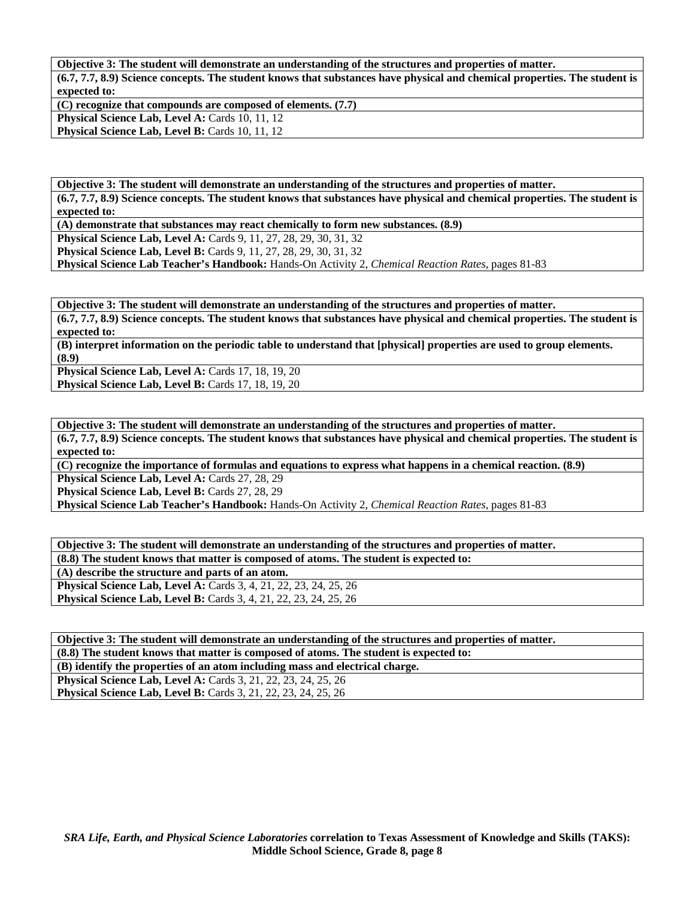**Objective 3: The student will demonstrate an understanding of the structures and properties of matter. (6.7, 7.7, 8.9) Science concepts. The student knows that substances have physical and chemical properties. The student is expected to:** 

**(C) recognize that compounds are composed of elements. (7.7)**  Physical Science Lab, Level A: Cards 10, 11, 12 Physical Science Lab, Level B: Cards 10, 11, 12

**Objective 3: The student will demonstrate an understanding of the structures and properties of matter. (6.7, 7.7, 8.9) Science concepts. The student knows that substances have physical and chemical properties. The student is expected to:** 

**(A) demonstrate that substances may react chemically to form new substances. (8.9)** 

**Physical Science Lab, Level A:** Cards 9, 11, 27, 28, 29, 30, 31, 32

**Physical Science Lab, Level B:** Cards 9, 11, 27, 28, 29, 30, 31, 32

**Physical Science Lab Teacher's Handbook:** Hands-On Activity 2, *Chemical Reaction Rates,* pages 81-83

**Objective 3: The student will demonstrate an understanding of the structures and properties of matter. (6.7, 7.7, 8.9) Science concepts. The student knows that substances have physical and chemical properties. The student is expected to:** 

**(B) interpret information on the periodic table to understand that [physical] properties are used to group elements. (8.9)** 

**Physical Science Lab, Level A: Cards 17, 18, 19, 20 Physical Science Lab, Level B:** Cards 17, 18, 19, 20

**Objective 3: The student will demonstrate an understanding of the structures and properties of matter. (6.7, 7.7, 8.9) Science concepts. The student knows that substances have physical and chemical properties. The student is expected to:** 

**(C) recognize the importance of formulas and equations to express what happens in a chemical reaction. (8.9)**  Physical Science Lab, Level A: Cards 27, 28, 29

Physical Science Lab, Level B: Cards 27, 28, 29

**Physical Science Lab Teacher's Handbook:** Hands-On Activity 2, *Chemical Reaction Rates,* pages 81-83

| Objective 3: The student will demonstrate an understanding of the structures and properties of matter. |
|--------------------------------------------------------------------------------------------------------|
| (8.8) The student knows that matter is composed of atoms. The student is expected to:                  |
| (A) describe the structure and parts of an atom.                                                       |
| <b>Physical Science Lab, Level A:</b> Cards 3, 4, 21, 22, 23, 24, 25, 26                               |
| <b>Physical Science Lab, Level B:</b> Cards 3, 4, 21, 22, 23, 24, 25, 26                               |
|                                                                                                        |

**Objective 3: The student will demonstrate an understanding of the structures and properties of matter. (8.8) The student knows that matter is composed of atoms. The student is expected to: (B) identify the properties of an atom including mass and electrical charge. Physical Science Lab, Level A:** Cards 3, 21, 22, 23, 24, 25, 26 **Physical Science Lab, Level B:** Cards 3, 21, 22, 23, 24, 25, 26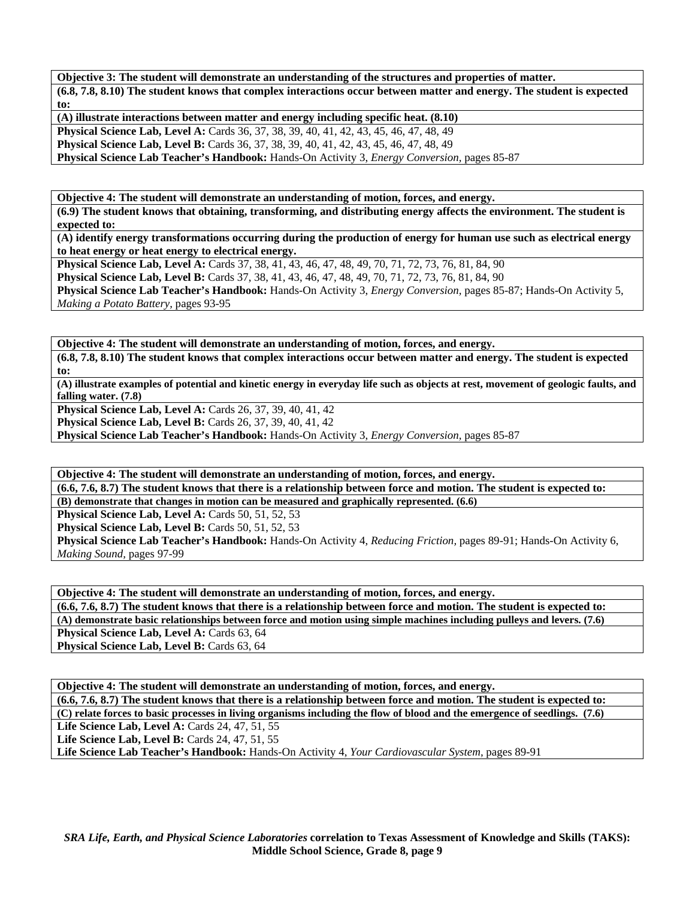**Objective 3: The student will demonstrate an understanding of the structures and properties of matter. (6.8, 7.8, 8.10) The student knows that complex interactions occur between matter and energy. The student is expected to:** 

**(A) illustrate interactions between matter and energy including specific heat. (8.10) Physical Science Lab, Level A:** Cards 36, 37, 38, 39, 40, 41, 42, 43, 45, 46, 47, 48, 49 **Physical Science Lab, Level B:** Cards 36, 37, 38, 39, 40, 41, 42, 43, 45, 46, 47, 48, 49 **Physical Science Lab Teacher's Handbook:** Hands-On Activity 3, *Energy Conversion,* pages 85-87

**Objective 4: The student will demonstrate an understanding of motion, forces, and energy. (6.9) The student knows that obtaining, transforming, and distributing energy affects the environment. The student is expected to:** 

**(A) identify energy transformations occurring during the production of energy for human use such as electrical energy to heat energy or heat energy to electrical energy.** 

**Physical Science Lab, Level A:** Cards 37, 38, 41, 43, 46, 47, 48, 49, 70, 71, 72, 73, 76, 81, 84, 90 **Physical Science Lab, Level B:** Cards 37, 38, 41, 43, 46, 47, 48, 49, 70, 71, 72, 73, 76, 81, 84, 90 **Physical Science Lab Teacher's Handbook:** Hands-On Activity 3, *Energy Conversion,* pages 85-87; Hands-On Activity 5, *Making a Potato Battery,* pages 93-95

**Objective 4: The student will demonstrate an understanding of motion, forces, and energy. (6.8, 7.8, 8.10) The student knows that complex interactions occur between matter and energy. The student is expected to:** 

**(A) illustrate examples of potential and kinetic energy in everyday life such as objects at rest, movement of geologic faults, and falling water. (7.8)** 

**Physical Science Lab, Level A: Cards 26, 37, 39, 40, 41, 42** 

**Physical Science Lab, Level B:** Cards 26, 37, 39, 40, 41, 42

**Physical Science Lab Teacher's Handbook:** Hands-On Activity 3, *Energy Conversion,* pages 85-87

**Objective 4: The student will demonstrate an understanding of motion, forces, and energy. (6.6, 7.6, 8.7) The student knows that there is a relationship between force and motion. The student is expected to: (B) demonstrate that changes in motion can be measured and graphically represented. (6.6)** 

**Physical Science Lab, Level A: Cards 50, 51, 52, 53** 

**Physical Science Lab, Level B: Cards 50, 51, 52, 53** 

**Physical Science Lab Teacher's Handbook:** Hands-On Activity 4, *Reducing Friction,* pages 89-91; Hands-On Activity 6, *Making Sound,* pages 97-99

**Objective 4: The student will demonstrate an understanding of motion, forces, and energy.** 

**(6.6, 7.6, 8.7) The student knows that there is a relationship between force and motion. The student is expected to: (A) demonstrate basic relationships between force and motion using simple machines including pulleys and levers. (7.6)**  Physical Science Lab, Level A: Cards 63, 64 **Physical Science Lab, Level B: Cards 63, 64** 

**Objective 4: The student will demonstrate an understanding of motion, forces, and energy. (6.6, 7.6, 8.7) The student knows that there is a relationship between force and motion. The student is expected to: (C) relate forces to basic processes in living organisms including the flow of blood and the emergence of seedlings. (7.6) Life Science Lab, Level A:** Cards 24, 47, 51, 55 **Life Science Lab, Level B: Cards 24, 47, 51, 55 Life Science Lab Teacher's Handbook:** Hands-On Activity 4, *Your Cardiovascular System,* pages 89-91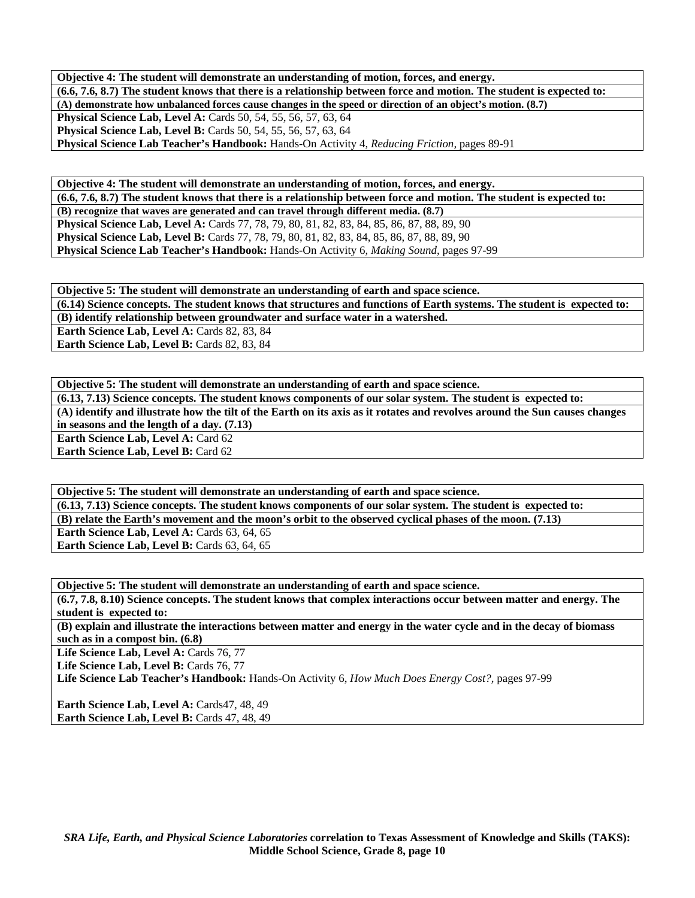**Objective 4: The student will demonstrate an understanding of motion, forces, and energy. (6.6, 7.6, 8.7) The student knows that there is a relationship between force and motion. The student is expected to: (A) demonstrate how unbalanced forces cause changes in the speed or direction of an object's motion. (8.7) Physical Science Lab, Level A:** Cards 50, 54, 55, 56, 57, 63, 64 **Physical Science Lab, Level B:** Cards 50, 54, 55, 56, 57, 63, 64 **Physical Science Lab Teacher's Handbook:** Hands-On Activity 4, *Reducing Friction,* pages 89-91

**Objective 4: The student will demonstrate an understanding of motion, forces, and energy. (6.6, 7.6, 8.7) The student knows that there is a relationship between force and motion. The student is expected to: (B) recognize that waves are generated and can travel through different media. (8.7) Physical Science Lab, Level A:** Cards 77, 78, 79, 80, 81, 82, 83, 84, 85, 86, 87, 88, 89, 90 **Physical Science Lab, Level B:** Cards 77, 78, 79, 80, 81, 82, 83, 84, 85, 86, 87, 88, 89, 90 **Physical Science Lab Teacher's Handbook:** Hands-On Activity 6, *Making Sound,* pages 97-99

**Objective 5: The student will demonstrate an understanding of earth and space science.** 

**(6.14) Science concepts. The student knows that structures and functions of Earth systems. The student is expected to: (B) identify relationship between groundwater and surface water in a watershed.** 

Earth Science Lab, Level A: Cards 82, 83, 84

Earth Science Lab, Level B: Cards 82, 83, 84

**Objective 5: The student will demonstrate an understanding of earth and space science. (6.13, 7.13) Science concepts. The student knows components of our solar system. The student is expected to: (A) identify and illustrate how the tilt of the Earth on its axis as it rotates and revolves around the Sun causes changes in seasons and the length of a day. (7.13) Earth Science Lab, Level A: Card 62** 

**Earth Science Lab, Level B: Card 62** 

**Objective 5: The student will demonstrate an understanding of earth and space science. (6.13, 7.13) Science concepts. The student knows components of our solar system. The student is expected to: (B) relate the Earth's movement and the moon's orbit to the observed cyclical phases of the moon. (7.13)**  Earth Science Lab, Level A: Cards 63, 64, 65 **Earth Science Lab, Level B: Cards 63, 64, 65** 

**Objective 5: The student will demonstrate an understanding of earth and space science.** 

**(6.7, 7.8, 8.10) Science concepts. The student knows that complex interactions occur between matter and energy. The student is expected to:** 

**(B) explain and illustrate the interactions between matter and energy in the water cycle and in the decay of biomass such as in a compost bin. (6.8)** 

Life Science Lab, Level A: Cards 76, 77

Life Science Lab, Level B: Cards 76, 77

**Life Science Lab Teacher's Handbook:** Hands-On Activity 6, *How Much Does Energy Cost?,* pages 97-99

Earth Science Lab, Level A: Cards47, 48, 49 Earth Science Lab, Level B: Cards 47, 48, 49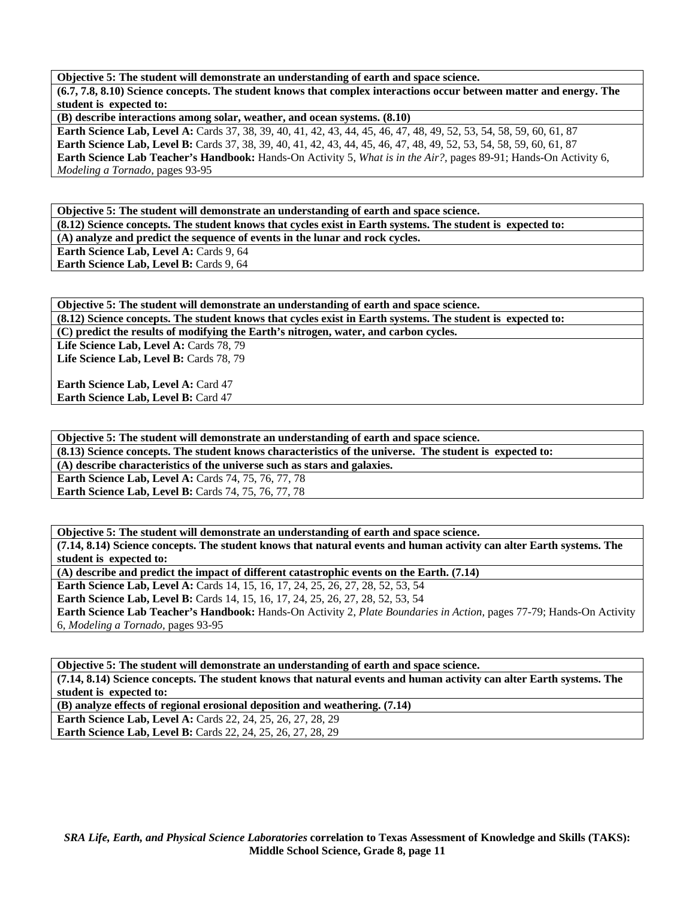**Objective 5: The student will demonstrate an understanding of earth and space science.** 

**(6.7, 7.8, 8.10) Science concepts. The student knows that complex interactions occur between matter and energy. The student is expected to:** 

**(B) describe interactions among solar, weather, and ocean systems. (8.10)** 

**Earth Science Lab, Level A:** Cards 37, 38, 39, 40, 41, 42, 43, 44, 45, 46, 47, 48, 49, 52, 53, 54, 58, 59, 60, 61, 87 **Earth Science Lab, Level B:** Cards 37, 38, 39, 40, 41, 42, 43, 44, 45, 46, 47, 48, 49, 52, 53, 54, 58, 59, 60, 61, 87 **Earth Science Lab Teacher's Handbook:** Hands-On Activity 5, *What is in the Air?,* pages 89-91; Hands-On Activity 6, *Modeling a Tornado,* pages 93-95

**Objective 5: The student will demonstrate an understanding of earth and space science. (8.12) Science concepts. The student knows that cycles exist in Earth systems. The student is expected to: (A) analyze and predict the sequence of events in the lunar and rock cycles.** 

**Earth Science Lab, Level A: Cards 9, 64** 

**Earth Science Lab, Level B: Cards 9, 64** 

**Objective 5: The student will demonstrate an understanding of earth and space science. (8.12) Science concepts. The student knows that cycles exist in Earth systems. The student is expected to: (C) predict the results of modifying the Earth's nitrogen, water, and carbon cycles.**  Life Science Lab, Level A: Cards 78, 79

Life Science Lab, Level B: Cards 78, 79

**Earth Science Lab, Level A: Card 47 Earth Science Lab, Level B: Card 47** 

**Objective 5: The student will demonstrate an understanding of earth and space science. (8.13) Science concepts. The student knows characteristics of the universe. The student is expected to: (A) describe characteristics of the universe such as stars and galaxies. Earth Science Lab, Level A: Cards 74, 75, 76, 77, 78 Earth Science Lab, Level B: Cards 74, 75, 76, 77, 78** 

**Objective 5: The student will demonstrate an understanding of earth and space science. (7.14, 8.14) Science concepts. The student knows that natural events and human activity can alter Earth systems. The** 

**student is expected to:** 

**(A) describe and predict the impact of different catastrophic events on the Earth. (7.14)** 

**Earth Science Lab, Level A:** Cards 14, 15, 16, 17, 24, 25, 26, 27, 28, 52, 53, 54

**Earth Science Lab, Level B:** Cards 14, 15, 16, 17, 24, 25, 26, 27, 28, 52, 53, 54

**Earth Science Lab Teacher's Handbook:** Hands-On Activity 2, *Plate Boundaries in Action,* pages 77-79; Hands-On Activity 6, *Modeling a Tornado,* pages 93-95

**Objective 5: The student will demonstrate an understanding of earth and space science. (7.14, 8.14) Science concepts. The student knows that natural events and human activity can alter Earth systems. The student is expected to:** 

**(B) analyze effects of regional erosional deposition and weathering. (7.14) Earth Science Lab, Level A:** Cards 22, 24, 25, 26, 27, 28, 29 **Earth Science Lab, Level B:** Cards 22, 24, 25, 26, 27, 28, 29